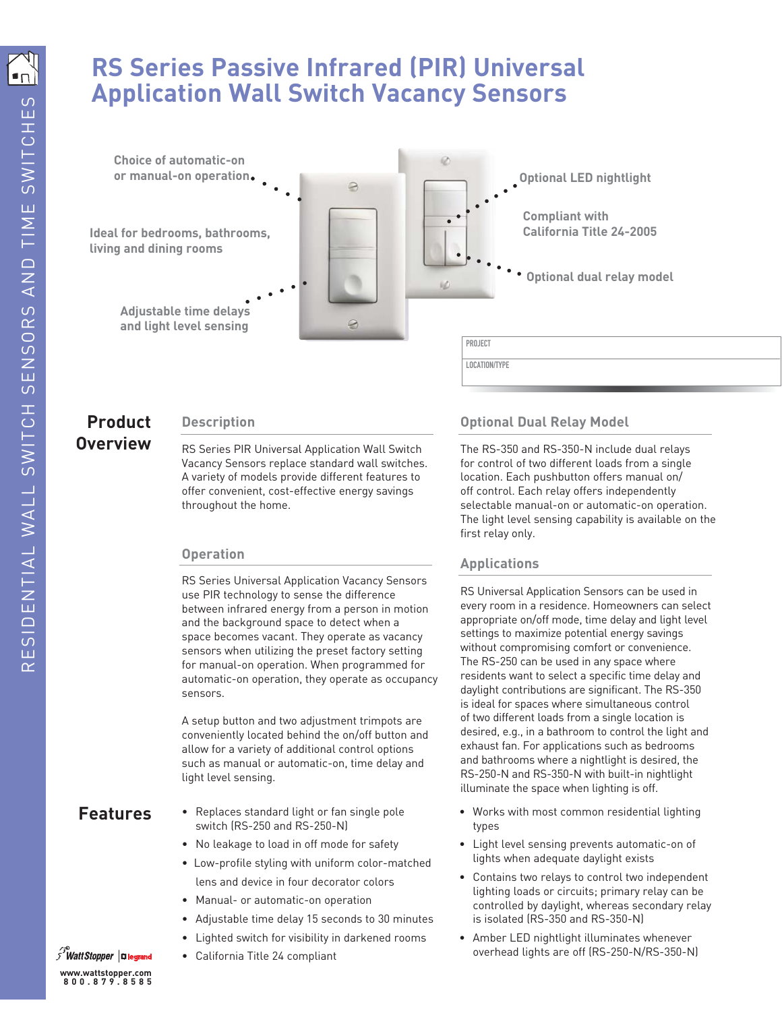# **RS Series Passive Infrared (PIR) Universal Application Wall Switch Vacancy Sensors**



## **Product Description Overview**

RS Series PIR Universal Application Wall Switch Vacancy Sensors replace standard wall switches. A variety of models provide different features to offer convenient, cost-effective energy savings throughout the home.

### **Operation**

RS Series Universal Application Vacancy Sensors use PIR technology to sense the difference between infrared energy from a person in motion and the background space to detect when a space becomes vacant. They operate as vacancy sensors when utilizing the preset factory setting for manual-on operation. When programmed for automatic-on operation, they operate as occupancy sensors.

A setup button and two adjustment trimpots are conveniently located behind the on/off button and allow for a variety of additional control options such as manual or automatic-on, time delay and light level sensing.

- Replaces standard light or fan single pole switch (RS-250 and RS-250-N)
- No leakage to load in off mode for safety
- Low-profile styling with uniform color-matched lens and device in four decorator colors
- Manual- or automatic-on operation
- Adjustable time delay 15 seconds to 30 minutes
- Lighted switch for visibility in darkened rooms
- California Title 24 compliant

### **Optional Dual Relay Model**

The RS-350 and RS-350-N include dual relays for control of two different loads from a single location. Each pushbutton offers manual on/ off control. Each relay offers independently selectable manual-on or automatic-on operation. The light level sensing capability is available on the first relay only.

### **Applications**

RS Universal Application Sensors can be used in every room in a residence. Homeowners can select appropriate on/off mode, time delay and light level settings to maximize potential energy savings without compromising comfort or convenience. The RS-250 can be used in any space where residents want to select a specific time delay and daylight contributions are significant. The RS-350 is ideal for spaces where simultaneous control of two different loads from a single location is desired, e.g., in a bathroom to control the light and exhaust fan. For applications such as bedrooms and bathrooms where a nightlight is desired, the RS-250-N and RS-350-N with built-in nightlight illuminate the space when lighting is off.

- **Features** Replaces standard light or fan single pole Works with most common residential lighting types
	- Light level sensing prevents automatic-on of lights when adequate daylight exists
	- Contains two relays to control two independent lighting loads or circuits; primary relay can be controlled by daylight, whereas secondary relay is isolated (RS-350 and RS-350-N)
	- Amber LED nightlight illuminates whenever overhead lights are off (RS-250-N/RS-350-N)

Watt Stopper | **Elegrand www.wattstopper.com 800.879.8585**